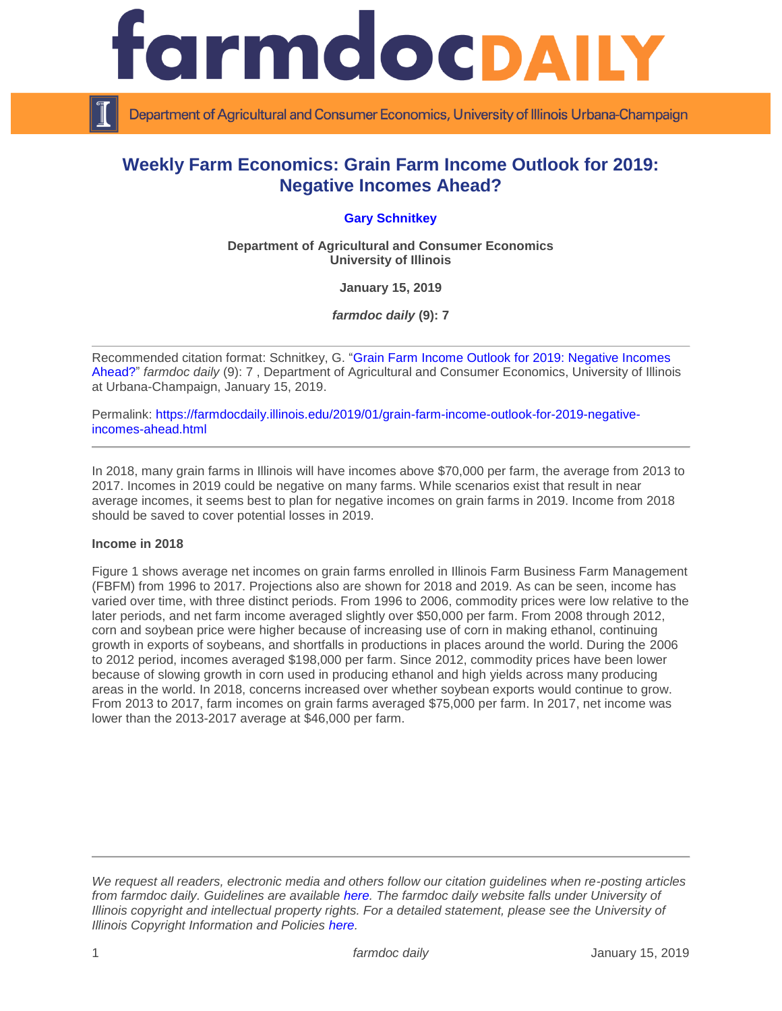

Department of Agricultural and Consumer Economics, University of Illinois Urbana-Champaign

# **Weekly Farm Economics: Grain Farm Income Outlook for 2019: Negative Incomes Ahead?**

## **[Gary Schnitkey](http://farmdoc.illinois.edu/schnitkey)**

**Department of Agricultural and Consumer Economics University of Illinois**

**January 15, 2019**

*farmdoc daily* **(9): 7**

Recommended citation format: Schnitkey, G. ["Grain Farm Income Outlook for 2019: Negative Incomes](https://farmdocdaily.illinois.edu/2019/01/grain-farm-income-outlook-for-2019-negative-incomes-ahead.html)  [Ahead?"](https://farmdocdaily.illinois.edu/2019/01/grain-farm-income-outlook-for-2019-negative-incomes-ahead.html) *farmdoc daily* (9): 7 , Department of Agricultural and Consumer Economics, University of Illinois at Urbana-Champaign, January 15, 2019.

Permalink: [https://farmdocdaily.illinois.edu/2019/01/grain-farm-income-outlook-for-2019-negative](https://farmdocdaily.illinois.edu/2019/01/grain-farm-income-outlook-for-2019-negative-incomes-ahead.html)[incomes-ahead.html](https://farmdocdaily.illinois.edu/2019/01/grain-farm-income-outlook-for-2019-negative-incomes-ahead.html)

In 2018, many grain farms in Illinois will have incomes above \$70,000 per farm, the average from 2013 to 2017. Incomes in 2019 could be negative on many farms. While scenarios exist that result in near average incomes, it seems best to plan for negative incomes on grain farms in 2019. Income from 2018 should be saved to cover potential losses in 2019.

#### **Income in 2018**

Figure 1 shows average net incomes on grain farms enrolled in Illinois Farm Business Farm Management (FBFM) from 1996 to 2017. Projections also are shown for 2018 and 2019. As can be seen, income has varied over time, with three distinct periods. From 1996 to 2006, commodity prices were low relative to the later periods, and net farm income averaged slightly over \$50,000 per farm. From 2008 through 2012, corn and soybean price were higher because of increasing use of corn in making ethanol, continuing growth in exports of soybeans, and shortfalls in productions in places around the world. During the 2006 to 2012 period, incomes averaged \$198,000 per farm. Since 2012, commodity prices have been lower because of slowing growth in corn used in producing ethanol and high yields across many producing areas in the world. In 2018, concerns increased over whether soybean exports would continue to grow. From 2013 to 2017, farm incomes on grain farms averaged \$75,000 per farm. In 2017, net income was lower than the 2013-2017 average at \$46,000 per farm.

*We request all readers, electronic media and others follow our citation guidelines when re-posting articles from farmdoc daily. Guidelines are available [here.](http://farmdocdaily.illinois.edu/citationguide.html) The farmdoc daily website falls under University of Illinois copyright and intellectual property rights. For a detailed statement, please see the University of Illinois Copyright Information and Policies [here.](http://www.cio.illinois.edu/policies/copyright/)*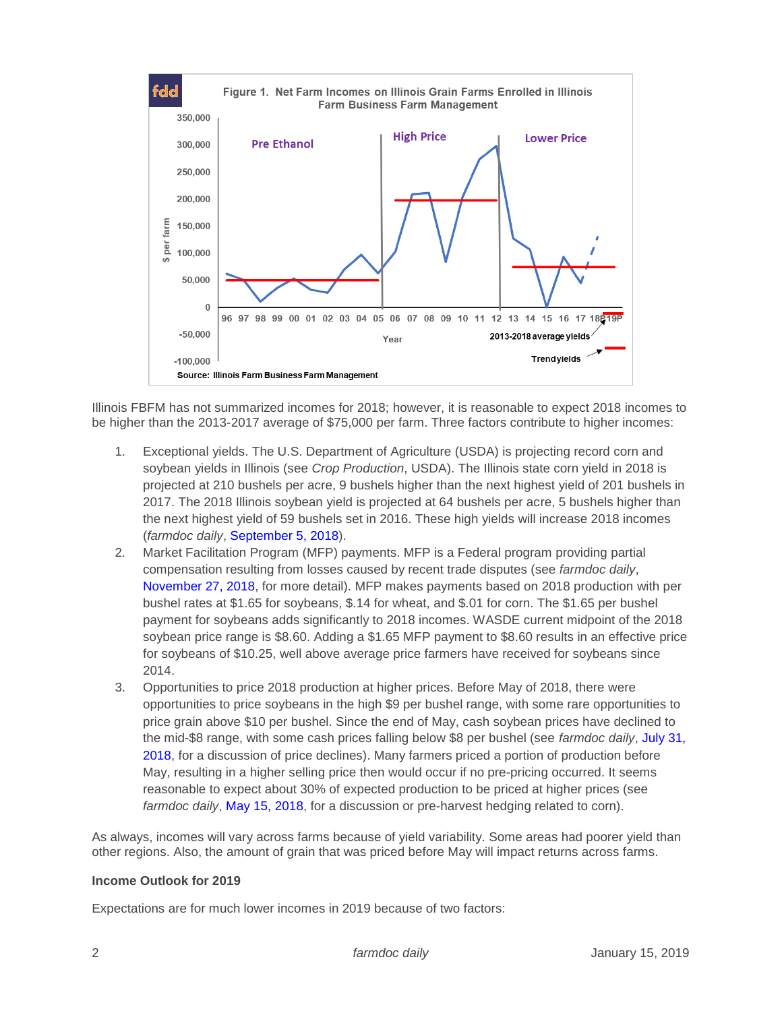

Illinois FBFM has not summarized incomes for 2018; however, it is reasonable to expect 2018 incomes to be higher than the 2013-2017 average of \$75,000 per farm. Three factors contribute to higher incomes:

- 1. Exceptional yields. The U.S. Department of Agriculture (USDA) is projecting record corn and soybean yields in Illinois (see *Crop Production*, USDA). The Illinois state corn yield in 2018 is projected at 210 bushels per acre, 9 bushels higher than the next highest yield of 201 bushels in 2017. The 2018 Illinois soybean yield is projected at 64 bushels per acre, 5 bushels higher than the next highest yield of 59 bushels set in 2016. These high yields will increase 2018 incomes (*farmdoc daily*, [September 5, 2018\)](https://farmdocdaily.illinois.edu/2018/09/exceptional-2018-corn-and-soybean-yields-and-budgeting-for-2019.html).
- 2. Market Facilitation Program (MFP) payments. MFP is a Federal program providing partial compensation resulting from losses caused by recent trade disputes (see *farmdoc daily*, [November 27, 2018,](https://farmdocdaily.illinois.edu/2018/11/market-facilitation-program-mfp-deadline-for-signup-is-january-15.html) for more detail). MFP makes payments based on 2018 production with per bushel rates at \$1.65 for soybeans, \$.14 for wheat, and \$.01 for corn. The \$1.65 per bushel payment for soybeans adds significantly to 2018 incomes. WASDE current midpoint of the 2018 soybean price range is \$8.60. Adding a \$1.65 MFP payment to \$8.60 results in an effective price for soybeans of \$10.25, well above average price farmers have received for soybeans since 2014.
- 3. Opportunities to price 2018 production at higher prices. Before May of 2018, there were opportunities to price soybeans in the high \$9 per bushel range, with some rare opportunities to price grain above \$10 per bushel. Since the end of May, cash soybean prices have declined to the mid-\$8 range, with some cash prices falling below \$8 per bushel (see *farmdoc daily*[, July 31,](https://farmdocdaily.illinois.edu/2018/07/trade-timeline-and-corn-and-soybean-prices.html)  [2018,](https://farmdocdaily.illinois.edu/2018/07/trade-timeline-and-corn-and-soybean-prices.html) for a discussion of price declines). Many farmers priced a portion of production before May, resulting in a higher selling price then would occur if no pre-pricing occurred. It seems reasonable to expect about 30% of expected production to be priced at higher prices (see *farmdoc daily*, [May 15, 2018,](https://farmdocdaily.illinois.edu/2018/05/pre-harvest-hedging-revenue-protection.html) for a discussion or pre-harvest hedging related to corn).

As always, incomes will vary across farms because of yield variability. Some areas had poorer yield than other regions. Also, the amount of grain that was priced before May will impact returns across farms.

## **Income Outlook for 2019**

Expectations are for much lower incomes in 2019 because of two factors: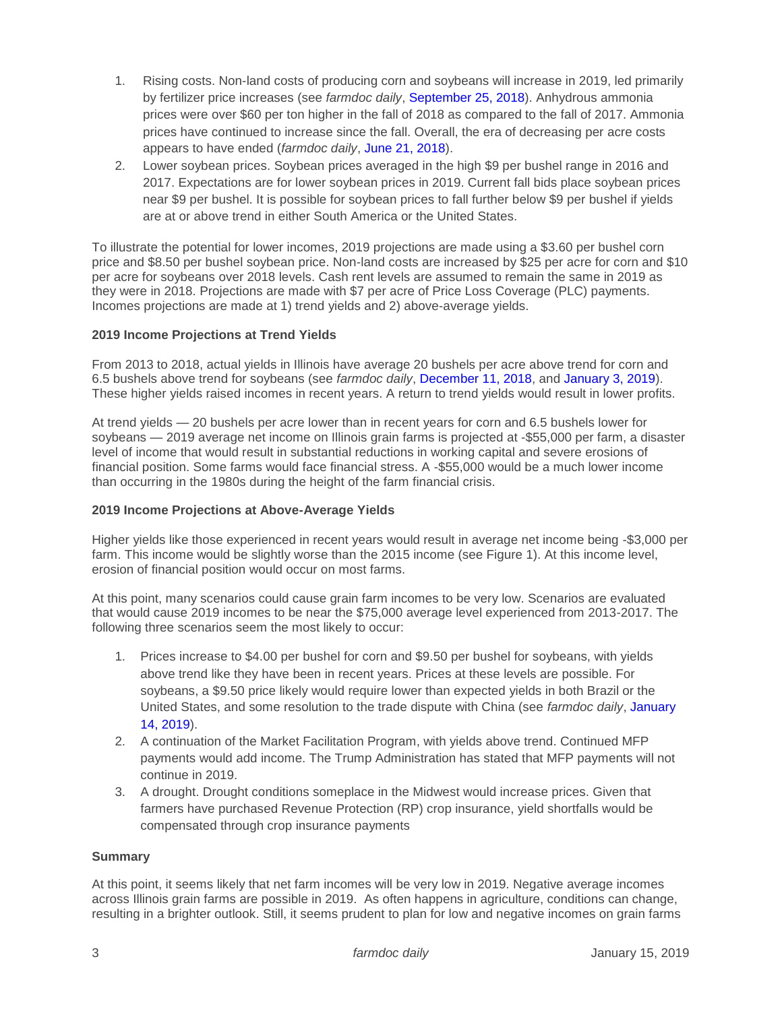- 1. Rising costs. Non-land costs of producing corn and soybeans will increase in 2019, led primarily by fertilizer price increases (see *farmdoc daily*, [September 25, 2018\)](https://farmdocdaily.illinois.edu/2018/09/fertilizer-prices-higher-for-2019-crop.html). Anhydrous ammonia prices were over \$60 per ton higher in the fall of 2018 as compared to the fall of 2017. Ammonia prices have continued to increase since the fall. Overall, the era of decreasing per acre costs appears to have ended (*farmdoc daily*, [June 21, 2018\)](https://farmdocdaily.illinois.edu/2018/06/era-of-decreasing-per-acre-corn-costs.html).
- 2. Lower soybean prices. Soybean prices averaged in the high \$9 per bushel range in 2016 and 2017. Expectations are for lower soybean prices in 2019. Current fall bids place soybean prices near \$9 per bushel. It is possible for soybean prices to fall further below \$9 per bushel if yields are at or above trend in either South America or the United States.

To illustrate the potential for lower incomes, 2019 projections are made using a \$3.60 per bushel corn price and \$8.50 per bushel soybean price. Non-land costs are increased by \$25 per acre for corn and \$10 per acre for soybeans over 2018 levels. Cash rent levels are assumed to remain the same in 2019 as they were in 2018. Projections are made with \$7 per acre of Price Loss Coverage (PLC) payments. Incomes projections are made at 1) trend yields and 2) above-average yields.

## **2019 Income Projections at Trend Yields**

From 2013 to 2018, actual yields in Illinois have average 20 bushels per acre above trend for corn and 6.5 bushels above trend for soybeans (see *farmdoc daily*, [December 11, 2018,](https://farmdocdaily.illinois.edu/2018/12/geography-exceptional-soybean-yields.html) and [January 3, 2019\)](https://farmdocdaily.illinois.edu/2019/01/the-geography-of-high-corn-yields.html). These higher yields raised incomes in recent years. A return to trend yields would result in lower profits.

At trend yields — 20 bushels per acre lower than in recent years for corn and 6.5 bushels lower for soybeans — 2019 average net income on Illinois grain farms is projected at -\$55,000 per farm, a disaster level of income that would result in substantial reductions in working capital and severe erosions of financial position. Some farms would face financial stress. A -\$55,000 would be a much lower income than occurring in the 1980s during the height of the farm financial crisis.

## **2019 Income Projections at Above-Average Yields**

Higher yields like those experienced in recent years would result in average net income being -\$3,000 per farm. This income would be slightly worse than the 2015 income (see Figure 1). At this income level, erosion of financial position would occur on most farms.

At this point, many scenarios could cause grain farm incomes to be very low. Scenarios are evaluated that would cause 2019 incomes to be near the \$75,000 average level experienced from 2013-2017. The following three scenarios seem the most likely to occur:

- 1. Prices increase to \$4.00 per bushel for corn and \$9.50 per bushel for soybeans, with yields above trend like they have been in recent years. Prices at these levels are possible. For soybeans, a \$9.50 price likely would require lower than expected yields in both Brazil or the United States, and some resolution to the trade dispute with China (see *farmdoc daily*, [January](https://farmdocdaily.illinois.edu/2019/01/soybean-price-uncertainty.html)  [14, 2019\)](https://farmdocdaily.illinois.edu/2019/01/soybean-price-uncertainty.html).
- 2. A continuation of the Market Facilitation Program, with yields above trend. Continued MFP payments would add income. The Trump Administration has stated that MFP payments will not continue in 2019.
- 3. A drought. Drought conditions someplace in the Midwest would increase prices. Given that farmers have purchased Revenue Protection (RP) crop insurance, yield shortfalls would be compensated through crop insurance payments

## **Summary**

At this point, it seems likely that net farm incomes will be very low in 2019. Negative average incomes across Illinois grain farms are possible in 2019. As often happens in agriculture, conditions can change, resulting in a brighter outlook. Still, it seems prudent to plan for low and negative incomes on grain farms